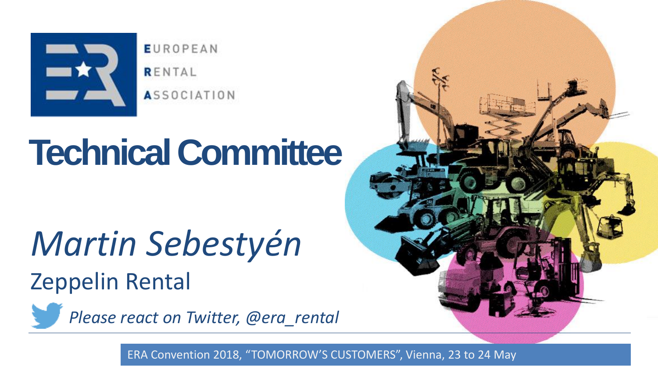

**EUROPEAN** RENTAL **ASSOCIATION** 

# **Technical Committee**

# *Martin Sebestyén* Zeppelin Rental





ERA Convention 2018, "TOMORROW'S CUSTOMERS", Vienna, 23 to 24 May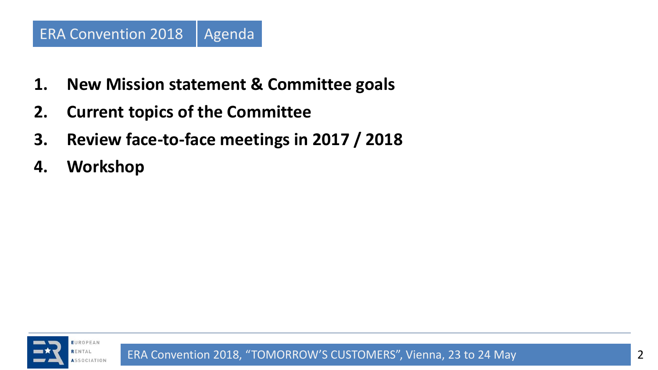- **1. New Mission statement & Committee goals**
- **2. Current topics of the Committee**
- **3. Review face-to-face meetings in 2017 / 2018**
- **4. Workshop**



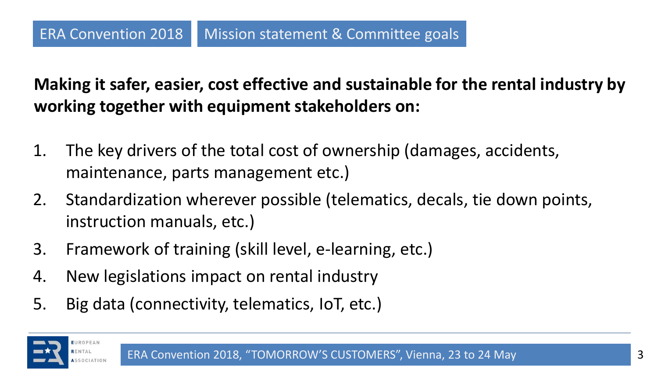## **Making it safer, easier, cost effective and sustainable for the rental industry by working together with equipment stakeholders on:**

- 1. The key drivers of the total cost of ownership (damages, accidents, maintenance, parts management etc.)
- 2. Standardization wherever possible (telematics, decals, tie down points, instruction manuals, etc.)
- 3. Framework of training (skill level, e-learning, etc.)
- 4. New legislations impact on rental industry
- 5. Big data (connectivity, telematics, IoT, etc.)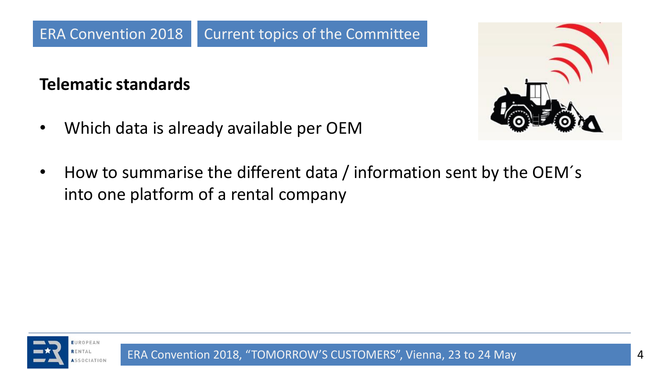#### **Telematic standards**

• Which data is already available per OEM



• How to summarise the different data / information sent by the OEM's into one platform of a rental company



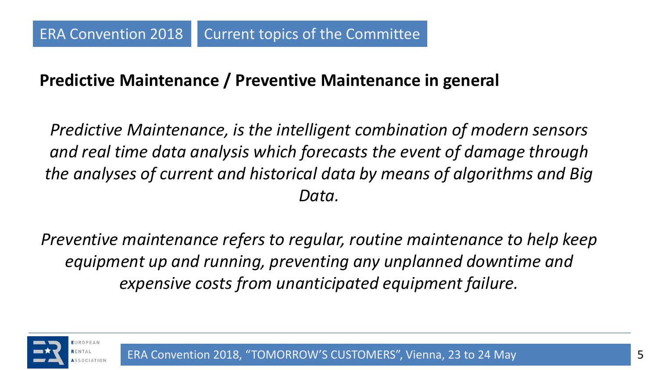#### **Predictive Maintenance / Preventive Maintenance in general**

*Predictive Maintenance, is the intelligent combination of modern sensors and real time data analysis which forecasts the event of damage through the analyses of current and historical data by means of algorithms and Big Data.* 

*Preventive maintenance refers to regular, routine maintenance to help keep equipment up and running, preventing any unplanned downtime and expensive costs from unanticipated equipment failure.*

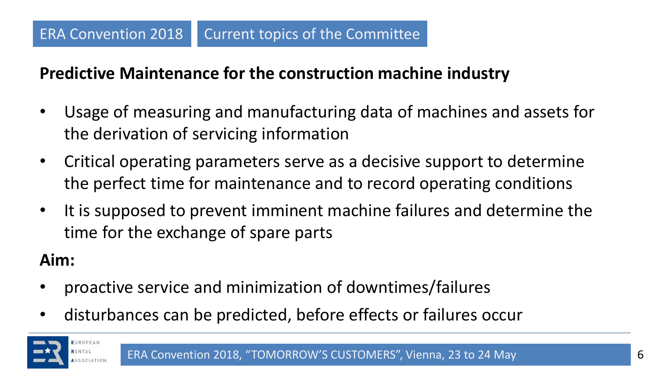#### **Predictive Maintenance for the construction machine industry**

- Usage of measuring and manufacturing data of machines and assets for the derivation of servicing information
- Critical operating parameters serve as a decisive support to determine the perfect time for maintenance and to record operating conditions
- It is supposed to prevent imminent machine failures and determine the time for the exchange of spare parts

#### **Aim:**

- proactive service and minimization of downtimes/failures
- disturbances can be predicted, before effects or failures occur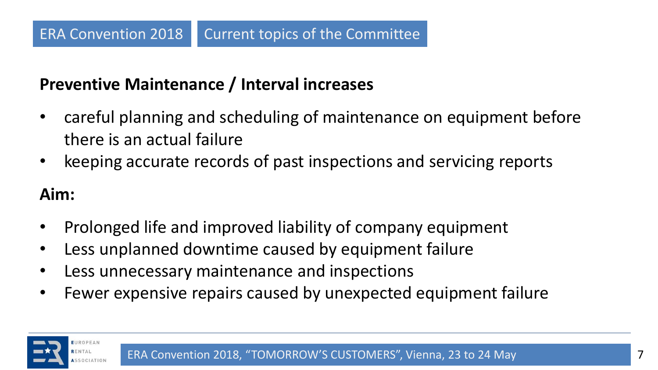#### **Preventive Maintenance / Interval increases**

- careful planning and scheduling of maintenance on equipment before there is an actual failure
- keeping accurate records of past inspections and servicing reports

### **Aim:**

- Prolonged life and improved liability of company equipment
- Less unplanned downtime caused by equipment failure
- Less unnecessary maintenance and inspections
- Fewer expensive repairs caused by unexpected equipment failure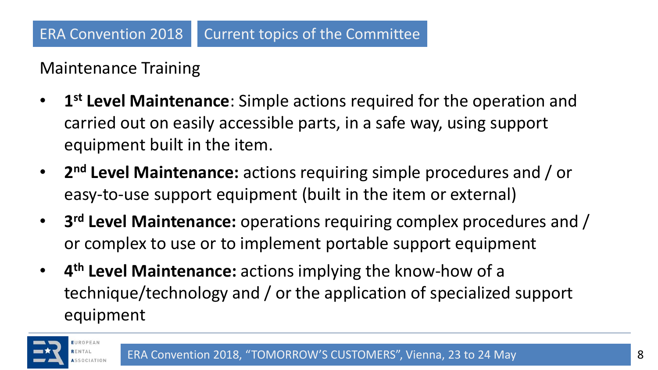#### Maintenance Training

- **1 st Level Maintenance**: Simple actions required for the operation and carried out on easily accessible parts, in a safe way, using support equipment built in the item.
- **2<sup>nd</sup> Level Maintenance:** actions requiring simple procedures and / or easy-to-use support equipment (built in the item or external)
- **3 rd Level Maintenance:** operations requiring complex procedures and / or complex to use or to implement portable support equipment
- **4 th Level Maintenance:** actions implying the know-how of a technique/technology and / or the application of specialized support equipment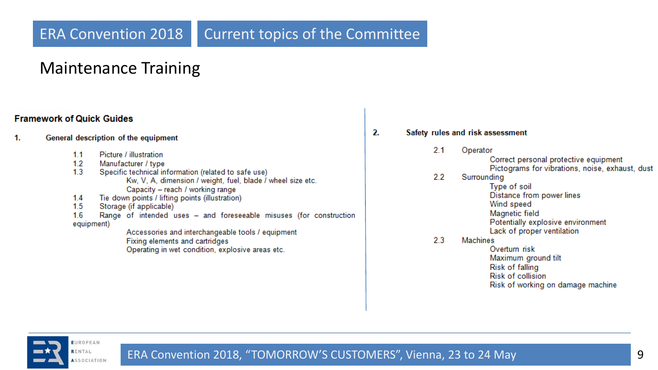#### ERA Convention 2018 Current topics of the Committee

#### Maintenance Training

#### **Framework of Quick Guides**

- General description of the equipment 1.
	- $11$ Picture / illustration
	- $1.2$ Manufacturer / type
	- $1.3$ Specific technical information (related to safe use) Kw. V. A. dimension / weight, fuel, blade / wheel size etc. Capacity - reach / working range
	- $14$ Tie down points / lifting points (illustration)
	- $1.5$ Storage (if applicable)
	- $1.6$ Range of intended uses - and foreseeable misuses (for construction equipment)

Accessories and interchangeable tools / equipment Fixing elements and cartridges Operating in wet condition, explosive areas etc.

- 2. Safety rules and risk assessment
	- $2.1$ Operator

Correct personal protective equipment Pictograms for vibrations, noise, exhaust, dust

 $22$ Surrounding

Type of soil Distance from power lines Wind speed **Magnetic field** Potentially explosive environment Lack of proper ventilation

23 **Machines** 

> Overturn risk Maximum ground tilt Risk of falling Risk of collision Risk of working on damage machine



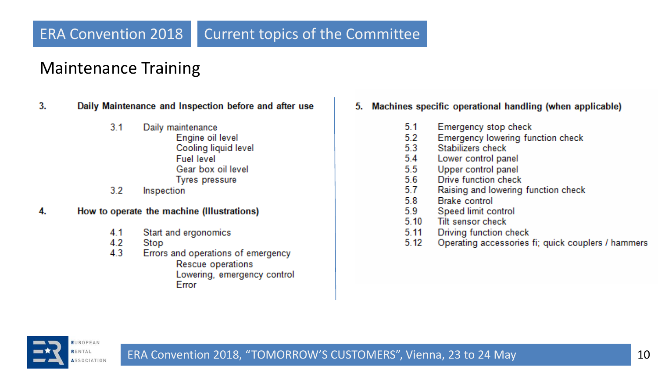#### Maintenance Training

- $3<sub>1</sub>$ Daily Maintenance and Inspection before and after use
	- $3.1$ Daily maintenance Engine oil level Cooling liquid level **Fuel level** Gear box oil level **Tyres pressure**
	- $3.2$ Inspection
- How to operate the machine (Illustrations) 4.
	- 4.1 Start and ergonomics
	- $4.2$ Stop
	- 4.3 Errors and operations of emergency Rescue operations Lowering, emergency control Error

#### Machines specific operational handling (when applicable) 5.

- $5.1$ Emergency stop check
- $5.2$ **Emergency lowering function check**
- 53 Stabilizers check
- $5.4$ Lower control panel
- $5.5$ Upper control panel
- 5.6 Drive function check
- 57 Raising and lowering function check
- 5.8 Brake control
- 5.9 Speed limit control
- $5.10$ Tilt sensor check
- $5.11$ **Driving function check**
- 5.12 Operating accessories fi; quick couplers / hammers

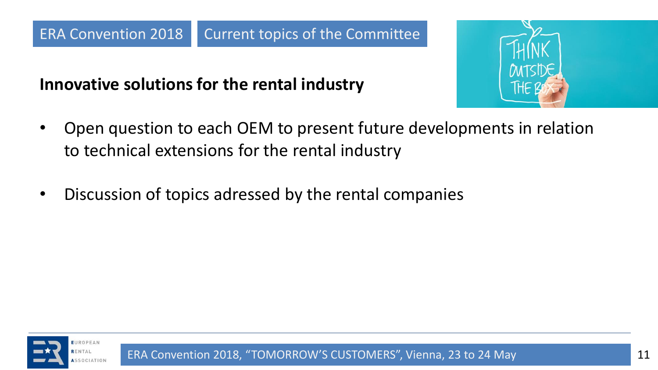#### **Innovative solutions for the rental industry**



- Open question to each OEM to present future developments in relation to technical extensions for the rental industry
- Discussion of topics adressed by the rental companies



JROPEAN

SOCIATION

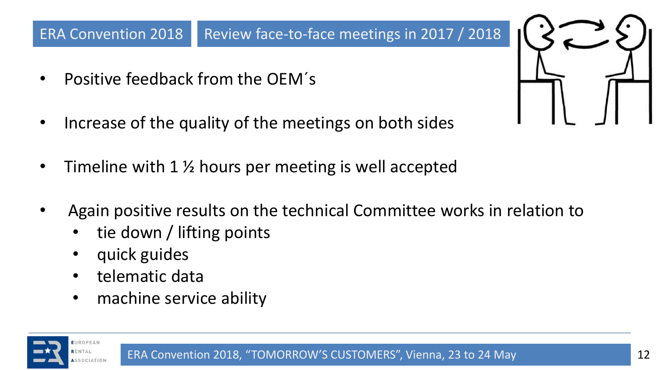#### ERA Convention 2018 Review face-to-face meetings in 2017 / 2018

- Positive feedback from the OEM´s
- Increase of the quality of the meetings on both sides
- Timeline with 1 % hours per meeting is well accepted
- Again positive results on the technical Committee works in relation to
	- tie down / lifting points
	- quick guides
	- telematic data
	- machine service ability



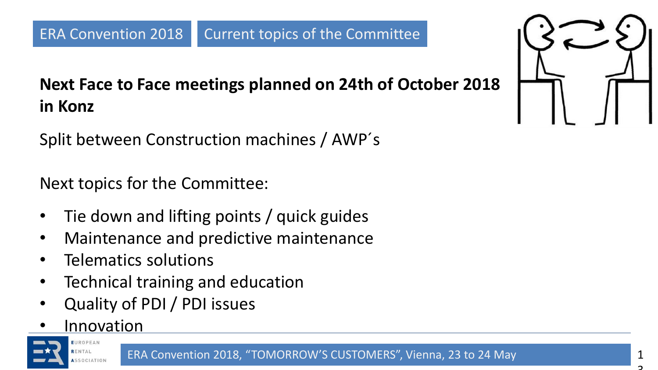# **Next Face to Face meetings planned on 24th of October 2018 in Konz**

Split between Construction machines / AWP´s

Next topics for the Committee:

- Tie down and lifting points / quick guides
- Maintenance and predictive maintenance
- Telematics solutions
- Technical training and education
- Quality of PDI / PDI issues
- Innovation

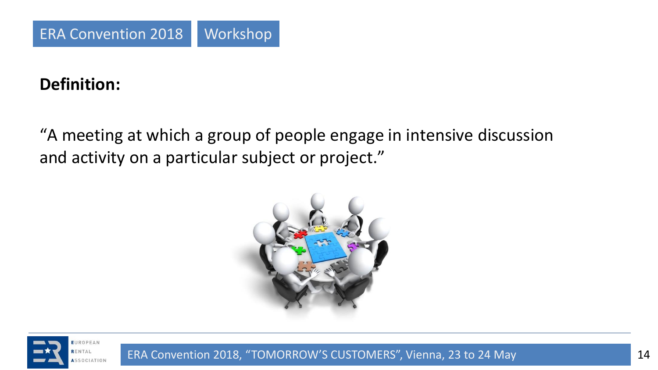**Definition:**

"A meeting at which a group of people engage in intensive discussion and activity on a particular subject or project."



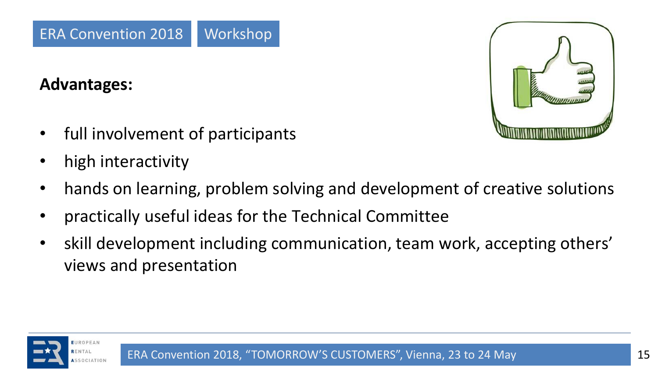#### **Advantages:**



- full involvement of participants
- high interactivity
- hands on learning, problem solving and development of creative solutions
- practically useful ideas for the Technical Committee
- skill development including communication, team work, accepting others' views and presentation

SOCIATION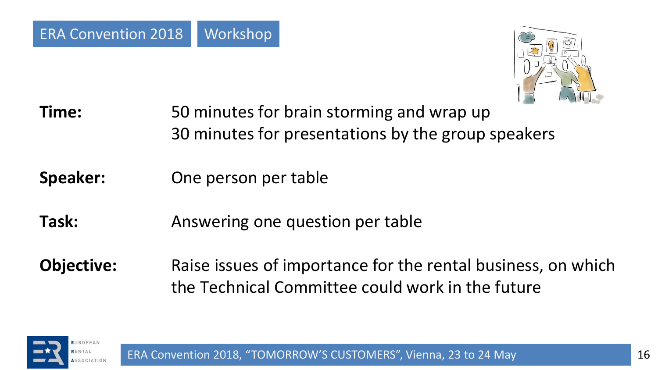

- **Time:** 50 minutes for brain storming and wrap up 30 minutes for presentations by the group speakers
- **Speaker:** One person per table
- **Task:** Answering one question per table
- **Objective:** Raise issues of importance for the rental business, on which the Technical Committee could work in the future